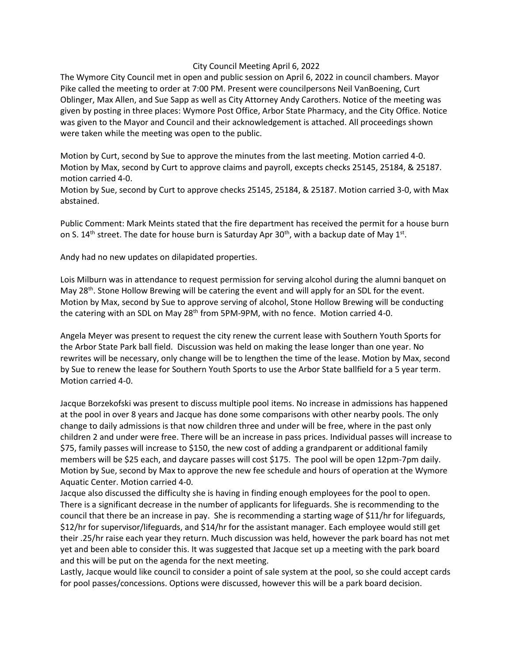## City Council Meeting April 6, 2022

The Wymore City Council met in open and public session on April 6, 2022 in council chambers. Mayor Pike called the meeting to order at 7:00 PM. Present were councilpersons Neil VanBoening, Curt Oblinger, Max Allen, and Sue Sapp as well as City Attorney Andy Carothers. Notice of the meeting was given by posting in three places: Wymore Post Office, Arbor State Pharmacy, and the City Office. Notice was given to the Mayor and Council and their acknowledgement is attached. All proceedings shown were taken while the meeting was open to the public.

Motion by Curt, second by Sue to approve the minutes from the last meeting. Motion carried 4-0. Motion by Max, second by Curt to approve claims and payroll, excepts checks 25145, 25184, & 25187. motion carried 4-0.

Motion by Sue, second by Curt to approve checks 25145, 25184, & 25187. Motion carried 3-0, with Max abstained.

Public Comment: Mark Meints stated that the fire department has received the permit for a house burn on S. 14<sup>th</sup> street. The date for house burn is Saturday Apr 30<sup>th</sup>, with a backup date of May 1<sup>st</sup>.

Andy had no new updates on dilapidated properties.

Lois Milburn was in attendance to request permission for serving alcohol during the alumni banquet on May 28<sup>th</sup>. Stone Hollow Brewing will be catering the event and will apply for an SDL for the event. Motion by Max, second by Sue to approve serving of alcohol, Stone Hollow Brewing will be conducting the catering with an SDL on May  $28<sup>th</sup>$  from 5PM-9PM, with no fence. Motion carried 4-0.

Angela Meyer was present to request the city renew the current lease with Southern Youth Sports for the Arbor State Park ball field. Discussion was held on making the lease longer than one year. No rewrites will be necessary, only change will be to lengthen the time of the lease. Motion by Max, second by Sue to renew the lease for Southern Youth Sports to use the Arbor State ballfield for a 5 year term. Motion carried 4-0.

Jacque Borzekofski was present to discuss multiple pool items. No increase in admissions has happened at the pool in over 8 years and Jacque has done some comparisons with other nearby pools. The only change to daily admissions is that now children three and under will be free, where in the past only children 2 and under were free. There will be an increase in pass prices. Individual passes will increase to \$75, family passes will increase to \$150, the new cost of adding a grandparent or additional family members will be \$25 each, and daycare passes will cost \$175. The pool will be open 12pm-7pm daily. Motion by Sue, second by Max to approve the new fee schedule and hours of operation at the Wymore Aquatic Center. Motion carried 4-0.

Jacque also discussed the difficulty she is having in finding enough employees for the pool to open. There is a significant decrease in the number of applicants for lifeguards. She is recommending to the council that there be an increase in pay. She is recommending a starting wage of \$11/hr for lifeguards, \$12/hr for supervisor/lifeguards, and \$14/hr for the assistant manager. Each employee would still get their .25/hr raise each year they return. Much discussion was held, however the park board has not met yet and been able to consider this. It was suggested that Jacque set up a meeting with the park board and this will be put on the agenda for the next meeting.

Lastly, Jacque would like council to consider a point of sale system at the pool, so she could accept cards for pool passes/concessions. Options were discussed, however this will be a park board decision.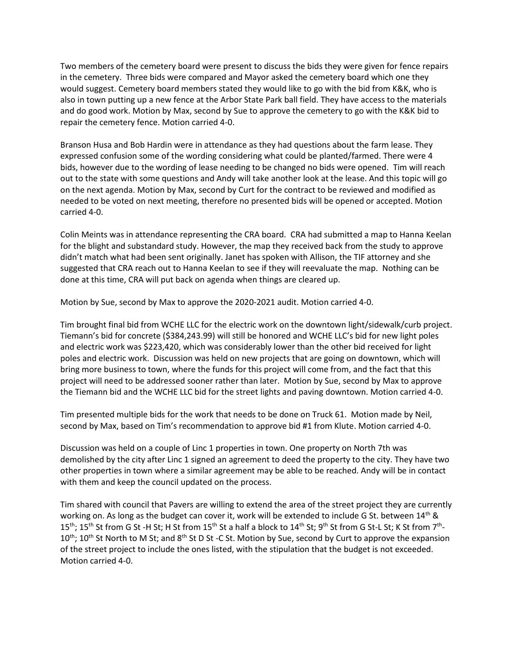Two members of the cemetery board were present to discuss the bids they were given for fence repairs in the cemetery. Three bids were compared and Mayor asked the cemetery board which one they would suggest. Cemetery board members stated they would like to go with the bid from K&K, who is also in town putting up a new fence at the Arbor State Park ball field. They have access to the materials and do good work. Motion by Max, second by Sue to approve the cemetery to go with the K&K bid to repair the cemetery fence. Motion carried 4-0.

Branson Husa and Bob Hardin were in attendance as they had questions about the farm lease. They expressed confusion some of the wording considering what could be planted/farmed. There were 4 bids, however due to the wording of lease needing to be changed no bids were opened. Tim will reach out to the state with some questions and Andy will take another look at the lease. And this topic will go on the next agenda. Motion by Max, second by Curt for the contract to be reviewed and modified as needed to be voted on next meeting, therefore no presented bids will be opened or accepted. Motion carried 4-0.

Colin Meints was in attendance representing the CRA board. CRA had submitted a map to Hanna Keelan for the blight and substandard study. However, the map they received back from the study to approve didn't match what had been sent originally. Janet has spoken with Allison, the TIF attorney and she suggested that CRA reach out to Hanna Keelan to see if they will reevaluate the map. Nothing can be done at this time, CRA will put back on agenda when things are cleared up.

Motion by Sue, second by Max to approve the 2020-2021 audit. Motion carried 4-0.

Tim brought final bid from WCHE LLC for the electric work on the downtown light/sidewalk/curb project. Tiemann's bid for concrete (\$384,243.99) will still be honored and WCHE LLC's bid for new light poles and electric work was \$223,420, which was considerably lower than the other bid received for light poles and electric work. Discussion was held on new projects that are going on downtown, which will bring more business to town, where the funds for this project will come from, and the fact that this project will need to be addressed sooner rather than later. Motion by Sue, second by Max to approve the Tiemann bid and the WCHE LLC bid for the street lights and paving downtown. Motion carried 4-0.

Tim presented multiple bids for the work that needs to be done on Truck 61. Motion made by Neil, second by Max, based on Tim's recommendation to approve bid #1 from Klute. Motion carried 4-0.

Discussion was held on a couple of Linc 1 properties in town. One property on North 7th was demolished by the city after Linc 1 signed an agreement to deed the property to the city. They have two other properties in town where a similar agreement may be able to be reached. Andy will be in contact with them and keep the council updated on the process.

Tim shared with council that Pavers are willing to extend the area of the street project they are currently working on. As long as the budget can cover it, work will be extended to include G St. between 14<sup>th</sup> &  $15^{\text{th}}$ ;  $15^{\text{th}}$  St from G St -H St; H St from  $15^{\text{th}}$  St a half a block to  $14^{\text{th}}$  St;  $9^{\text{th}}$  St from G St-L St; K St from  $7^{\text{th}}$ -10<sup>th</sup>; 10<sup>th</sup> St North to M St; and 8<sup>th</sup> St D St -C St. Motion by Sue, second by Curt to approve the expansion of the street project to include the ones listed, with the stipulation that the budget is not exceeded. Motion carried 4-0.